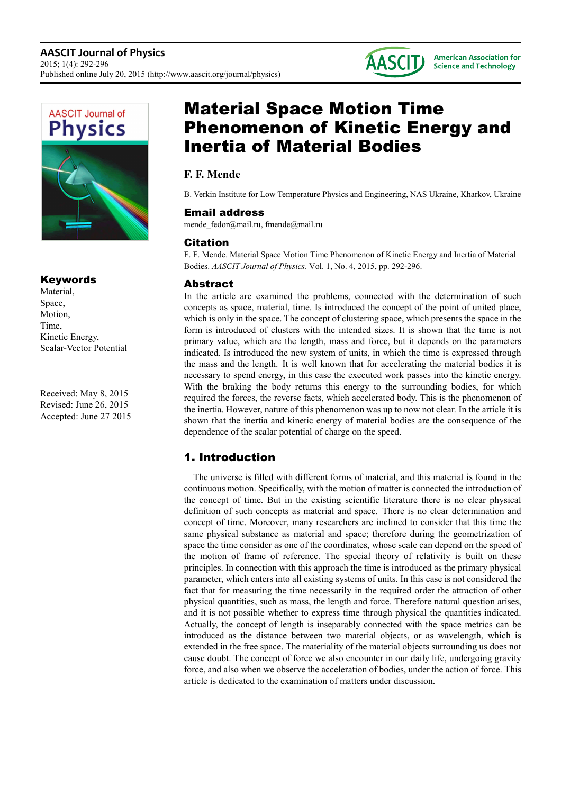



# Keywords

Material, Space, Motion, Time, Kinetic Energy, Scalar-Vector Potential

Received: May 8, 2015 Revised: June 26, 2015 Accepted: June 27 2015

# Material Space Motion Time Phenomenon of Kinetic Energy and Inertia of Material Bodies

# **F. F. Mende**

B. Verkin Institute for Low Temperature Physics and Engineering, NAS Ukraine, Kharkov, Ukraine

### Email address

mende fedor@mail.ru, fmende@mail.ru

### Citation

F. F. Mende. Material Space Motion Time Phenomenon of Kinetic Energy and Inertia of Material Bodies. *AASCIT Journal of Physics.* Vol. 1, No. 4, 2015, pp. 292-296.

# Abstract

In the article are examined the problems, connected with the determination of such concepts as space, material, time. Is introduced the concept of the point of united place, which is only in the space. The concept of clustering space, which presents the space in the form is introduced of clusters with the intended sizes. It is shown that the time is not primary value, which are the length, mass and force, but it depends on the parameters indicated. Is introduced the new system of units, in which the time is expressed through the mass and the length. It is well known that for accelerating the material bodies it is necessary to spend energy, in this case the executed work passes into the kinetic energy. With the braking the body returns this energy to the surrounding bodies, for which required the forces, the reverse facts, which accelerated body. This is the phenomenon of the inertia. However, nature of this phenomenon was up to now not clear. In the article it is shown that the inertia and kinetic energy of material bodies are the consequence of the dependence of the scalar potential of charge on the speed.

# 1. Introduction

The universe is filled with different forms of material, and this material is found in the continuous motion. Specifically, with the motion of matter is connected the introduction of the concept of time. But in the existing scientific literature there is no clear physical definition of such concepts as material and space. There is no clear determination and concept of time. Moreover, many researchers are inclined to consider that this time the same physical substance as material and space; therefore during the geometrization of space the time consider as one of the coordinates, whose scale can depend on the speed of the motion of frame of reference. The special theory of relativity is built on these principles. In connection with this approach the time is introduced as the primary physical parameter, which enters into all existing systems of units. In this case is not considered the fact that for measuring the time necessarily in the required order the attraction of other physical quantities, such as mass, the length and force. Therefore natural question arises, and it is not possible whether to express time through physical the quantities indicated. Actually, the concept of length is inseparably connected with the space metrics can be introduced as the distance between two material objects, or as wavelength, which is extended in the free space. The materiality of the material objects surrounding us does not cause doubt. The concept of force we also encounter in our daily life, undergoing gravity force, and also when we observe the acceleration of bodies, under the action of force. This article is dedicated to the examination of matters under discussion.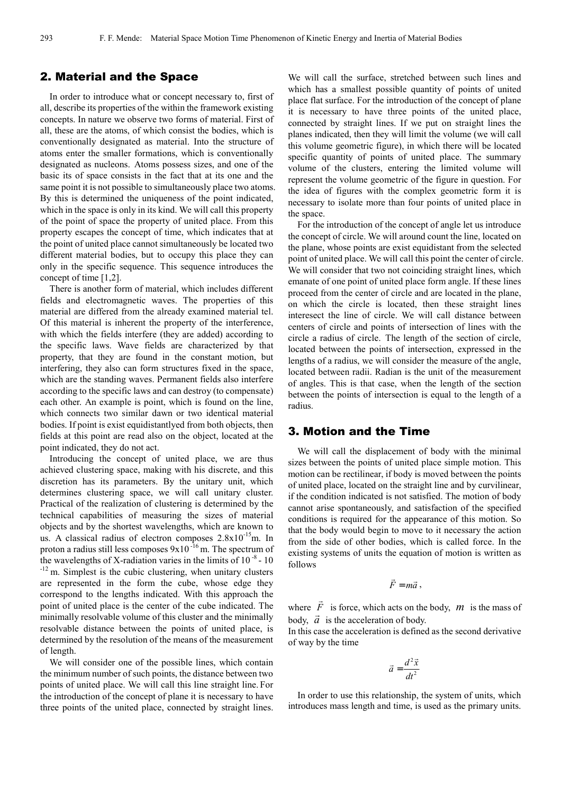### 2. Material and the Space

In order to introduce what or concept necessary to, first of all, describe its properties of the within the framework existing concepts. In nature we observe two forms of material. First of all, these are the atoms, of which consist the bodies, which is conventionally designated as material. Into the structure of atoms enter the smaller formations, which is conventionally designated as nucleons. Atoms possess sizes, and one of the basic its of space consists in the fact that at its one and the same point it is not possible to simultaneously place two atoms. By this is determined the uniqueness of the point indicated, which in the space is only in its kind. We will call this property of the point of space the property of united place. From this property escapes the concept of time, which indicates that at the point of united place cannot simultaneously be located two different material bodies, but to occupy this place they can only in the specific sequence. This sequence introduces the concept of time [1,2].

There is another form of material, which includes different fields and electromagnetic waves. The properties of this material are differed from the already examined material tel. Of this material is inherent the property of the interference, with which the fields interfere (they are added) according to the specific laws. Wave fields are characterized by that property, that they are found in the constant motion, but interfering, they also can form structures fixed in the space, which are the standing waves. Permanent fields also interfere according to the specific laws and can destroy (to compensate) each other. An example is point, which is found on the line, which connects two similar dawn or two identical material bodies. If point is exist equidistantlyed from both objects, then fields at this point are read also on the object, located at the point indicated, they do not act.

Introducing the concept of united place, we are thus achieved clustering space, making with his discrete, and this discretion has its parameters. By the unitary unit, which determines clustering space, we will call unitary cluster. Practical of the realization of clustering is determined by the technical capabilities of measuring the sizes of material objects and by the shortest wavelengths, which are known to us. A classical radius of electron composes 2.8x10-15m. In proton a radius still less composes  $9x10^{-16}$  m. The spectrum of the wavelengths of X-radiation varies in the limits of  $10^{-8}$  - 10 -12 m. Simplest is the cubic clustering, when unitary clusters are represented in the form the cube, whose edge they correspond to the lengths indicated. With this approach the point of united place is the center of the cube indicated. The minimally resolvable volume of this cluster and the minimally resolvable distance between the points of united place, is determined by the resolution of the means of the measurement of length.

We will consider one of the possible lines, which contain the minimum number of such points, the distance between two points of united place. We will call this line straight line. For the introduction of the concept of plane it is necessary to have three points of the united place, connected by straight lines.

We will call the surface, stretched between such lines and which has a smallest possible quantity of points of united place flat surface. For the introduction of the concept of plane it is necessary to have three points of the united place, connected by straight lines. If we put on straight lines the planes indicated, then they will limit the volume (we will call this volume geometric figure), in which there will be located specific quantity of points of united place. The summary volume of the clusters, entering the limited volume will represent the volume geometric of the figure in question. For the idea of figures with the complex geometric form it is necessary to isolate more than four points of united place in the space.

For the introduction of the concept of angle let us introduce the concept of circle. We will around count the line, located on the plane, whose points are exist equidistant from the selected point of united place. We will call this point the center of circle. We will consider that two not coinciding straight lines, which emanate of one point of united place form angle. If these lines proceed from the center of circle and are located in the plane, on which the circle is located, then these straight lines interesect the line of circle. We will call distance between centers of circle and points of intersection of lines with the circle a radius of circle. The length of the section of circle, located between the points of intersection, expressed in the lengths of a radius, we will consider the measure of the angle, located between radii. Radian is the unit of the measurement of angles. This is that case, when the length of the section between the points of intersection is equal to the length of a radius.

### 3. Motion and the Time

We will call the displacement of body with the minimal sizes between the points of united place simple motion. This motion can be rectilinear, if body is moved between the points of united place, located on the straight line and by curvilinear, if the condition indicated is not satisfied. The motion of body cannot arise spontaneously, and satisfaction of the specified conditions is required for the appearance of this motion. So that the body would begin to move to it necessary the action from the side of other bodies, which is called force. In the existing systems of units the equation of motion is written as follows

$$
\vec{F} = m\vec{a} ,
$$

where  $\vec{F}$  is force, which acts on the body,  $m$  is the mass of body,  $\vec{a}$  is the acceleration of body.

In this case the acceleration is defined as the second derivative of way by the time

$$
\vec{a} = \frac{d^2 \vec{x}}{dt^2}
$$

In order to use this relationship, the system of units, which introduces mass length and time, is used as the primary units.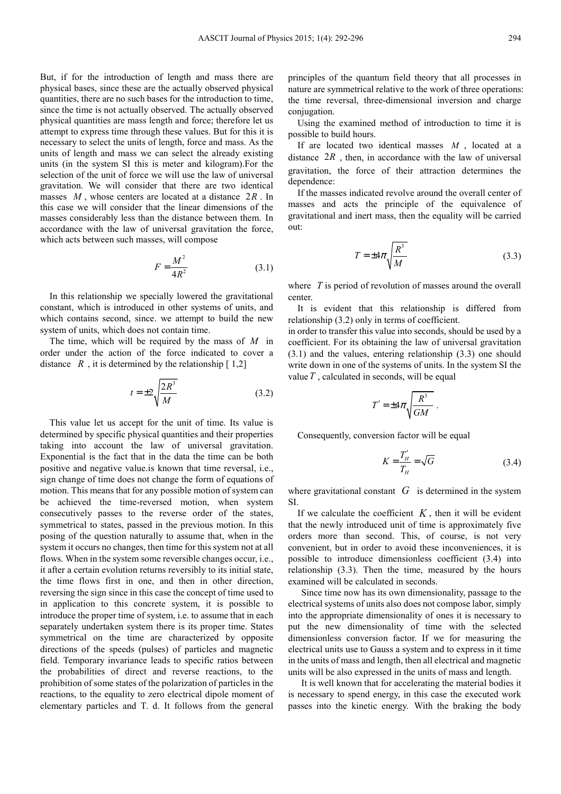But, if for the introduction of length and mass there are physical bases, since these are the actually observed physical quantities, there are no such bases for the introduction to time, since the time is not actually observed. The actually observed physical quantities are mass length and force; therefore let us attempt to express time through these values. But for this it is necessary to select the units of length, force and mass. As the units of length and mass we can select the already existing units (in the system SI this is meter and kilogram).For the selection of the unit of force we will use the law of universal gravitation. We will consider that there are two identical masses *M* , whose centers are located at a distance 2*R* . In this case we will consider that the linear dimensions of the masses considerably less than the distance between them. In accordance with the law of universal gravitation the force, which acts between such masses, will compose

$$
F = \frac{M^2}{4R^2} \tag{3.1}
$$

In this relationship we specially lowered the gravitational constant, which is introduced in other systems of units, and which contains second, since. we attempt to build the new system of units, which does not contain time.

The time, which will be required by the mass of *M* in order under the action of the force indicated to cover a distance  $R$ , it is determined by the relationship  $[1,2]$ 

$$
t = \pm 2\sqrt{\frac{2R^3}{M}}\tag{3.2}
$$

This value let us accept for the unit of time. Its value is determined by specific physical quantities and their properties taking into account the law of universal gravitation. Exponential is the fact that in the data the time can be both positive and negative value.is known that time reversal, i.e., sign change of time does not change the form of equations of motion. This means that for any possible motion of system can be achieved the time-reversed motion, when system consecutively passes to the reverse order of the states, symmetrical to states, passed in the previous motion. In this posing of the question naturally to assume that, when in the system it occurs no changes, then time for this system not at all flows. When in the system some reversible changes occur, i.e., it after a certain evolution returns reversibly to its initial state, the time flows first in one, and then in other direction, reversing the sign since in this case the concept of time used to in application to this concrete system, it is possible to introduce the proper time of system, i.e. to assume that in each separately undertaken system there is its proper time. States symmetrical on the time are characterized by opposite directions of the speeds (pulses) of particles and magnetic field. Temporary invariance leads to specific ratios between the probabilities of direct and reverse reactions, to the prohibition of some states of the polarization of particles in the reactions, to the equality to zero electrical dipole moment of elementary particles and T. d. It follows from the general

principles of the quantum field theory that all processes in nature are symmetrical relative to the work of three operations: the time reversal, three-dimensional inversion and charge conjugation.

Using the examined method of introduction to time it is possible to build hours.

If are located two identical masses *M* , located at a distance  $2R$ , then, in accordance with the law of universal gravitation, the force of their attraction determines the dependence:

If the masses indicated revolve around the overall center of masses and acts the principle of the equivalence of gravitational and inert mass, then the equality will be carried out:

$$
T = \pm 4\pi \sqrt{\frac{R^3}{M}}
$$
 (3.3)

where *T* is period of revolution of masses around the overall center.

It is evident that this relationship is differed from relationship (3.2) only in terms of coefficient.

in order to transfer this value into seconds, should be used by a coefficient. For its obtaining the law of universal gravitation (3.1) and the values, entering relationship (3.3) one should write down in one of the systems of units. In the system SI the value*T* , calculated in seconds, will be equal

$$
T' = \pm 4\pi \sqrt{\frac{R^3}{GM}} \; .
$$

Consequently, conversion factor will be equal

$$
K = \frac{T_H'}{T_H} = \sqrt{G} \tag{3.4}
$$

where gravitational constant *G* is determined in the system SI.

If we calculate the coefficient  $K$ , then it will be evident that the newly introduced unit of time is approximately five orders more than second. This, of course, is not very convenient, but in order to avoid these inconveniences, it is possible to introduce dimensionless coefficient (3.4) into relationship (3.3). Then the time, measured by the hours examined will be calculated in seconds.

 Since time now has its own dimensionality, passage to the electrical systems of units also does not compose labor, simply into the appropriate dimensionality of ones it is necessary to put the new dimensionality of time with the selected dimensionless conversion factor. If we for measuring the electrical units use to Gauss a system and to express in it time in the units of mass and length, then all electrical and magnetic units will be also expressed in the units of mass and length.

 It is well known that for accelerating the material bodies it is necessary to spend energy, in this case the executed work passes into the kinetic energy. With the braking the body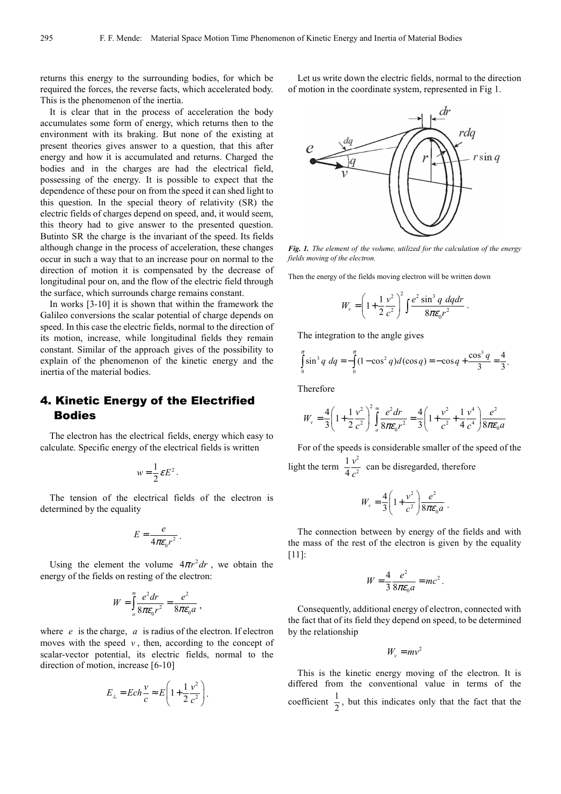returns this energy to the surrounding bodies, for which be required the forces, the reverse facts, which accelerated body. This is the phenomenon of the inertia.

It is clear that in the process of acceleration the body accumulates some form of energy, which returns then to the environment with its braking. But none of the existing at present theories gives answer to a question, that this after energy and how it is accumulated and returns. Charged the bodies and in the charges are had the electrical field, possessing of the energy. It is possible to expect that the dependence of these pour on from the speed it can shed light to this question. In the special theory of relativity (SR) the electric fields of charges depend on speed, and, it would seem, this theory had to give answer to the presented question. Butinto SR the charge is the invariant of the speed. Its fields although change in the process of acceleration, these changes occur in such a way that to an increase pour on normal to the direction of motion it is compensated by the decrease of longitudinal pour on, and the flow of the electric field through the surface, which surrounds charge remains constant.

In works [3-10] it is shown that within the framework the Galileo conversions the scalar potential of charge depends on speed. In this case the electric fields, normal to the direction of its motion, increase, while longitudinal fields they remain constant. Similar of the approach gives of the possibility to explain of the phenomenon of the kinetic energy and the inertia of the material bodies.

# 4. Kinetic Energy of the Electrified Bodies

The electron has the electrical fields, energy which easy to calculate. Specific energy of the electrical fields is written

$$
w=\frac{1}{2}\varepsilon E^2.
$$

The tension of the electrical fields of the electron is determined by the equality

$$
E = \frac{e}{4\pi\varepsilon_0 r^2}.
$$

Using the element the volume  $4\pi r^2 dr$ , we obtain the energy of the fields on resting of the electron:

$$
W = \int_{a}^{\infty} \frac{e^2 dr}{8\pi \varepsilon_0 r^2} = \frac{e^2}{8\pi \varepsilon_0 a} ,
$$

where  $e$  is the charge,  $a$  is radius of the electron. If electron moves with the speed  $v$ , then, according to the concept of scalar-vector potential, its electric fields, normal to the direction of motion, increase [6-10]

$$
E_{\perp} = Ech \frac{v}{c} \approx E \left( 1 + \frac{1}{2} \frac{v^2}{c^2} \right).
$$

Let us write down the electric fields, normal to the direction of motion in the coordinate system, represented in Fig 1.



*Fig. 1. The element of the volume, utilized for the calculation of the energy fields moving of the electron.* 

Then the energy of the fields moving electron will be written down

$$
W_v = \left(1 + \frac{1}{2}\frac{v^2}{c^2}\right)^2 \int \frac{e^2 \sin^3 q \, dq dr}{8\pi \varepsilon_0 r^2}
$$

.

The integration to the angle gives

$$
\int_{0}^{\pi} \sin^3 q \, dq = -\int_{0}^{\pi} (1 - \cos^2 q) d(\cos q) = -\cos q + \frac{\cos^3 q}{3} = \frac{4}{3}.
$$

Therefore

$$
W_v = \frac{4}{3} \left( 1 + \frac{1}{2} \frac{v^2}{c^2} \right)^2 \int_a^{\infty} \frac{e^2 dr}{8 \pi \epsilon_0 r^2} = \frac{4}{3} \left( 1 + \frac{v^2}{c^2} + \frac{1}{4} \frac{v^4}{c^4} \right) \frac{e^2}{8 \pi \epsilon_0 a}
$$

For of the speeds is considerable smaller of the speed of the light the term  $\frac{1}{4}v^2$ 2 1 4 *v c* can be disregarded, therefore

$$
W_{\nu} = \frac{4}{3} \left( 1 + \frac{v^2}{c^2} \right) \frac{e^2}{8\pi \varepsilon_0 a} \; .
$$

The connection between by energy of the fields and with the mass of the rest of the electron is given by the equality [11]:

$$
W = \frac{4}{3} \frac{e^2}{8\pi\varepsilon_0 a} = mc^2.
$$

Consequently, additional energy of electron, connected with the fact that of its field they depend on speed, to be determined by the relationship

$$
W_v = mv^2
$$

This is the kinetic energy moving of the electron. It is differed from the conventional value in terms of the coefficient  $\frac{1}{2}$ , but this indicates only that the fact that the